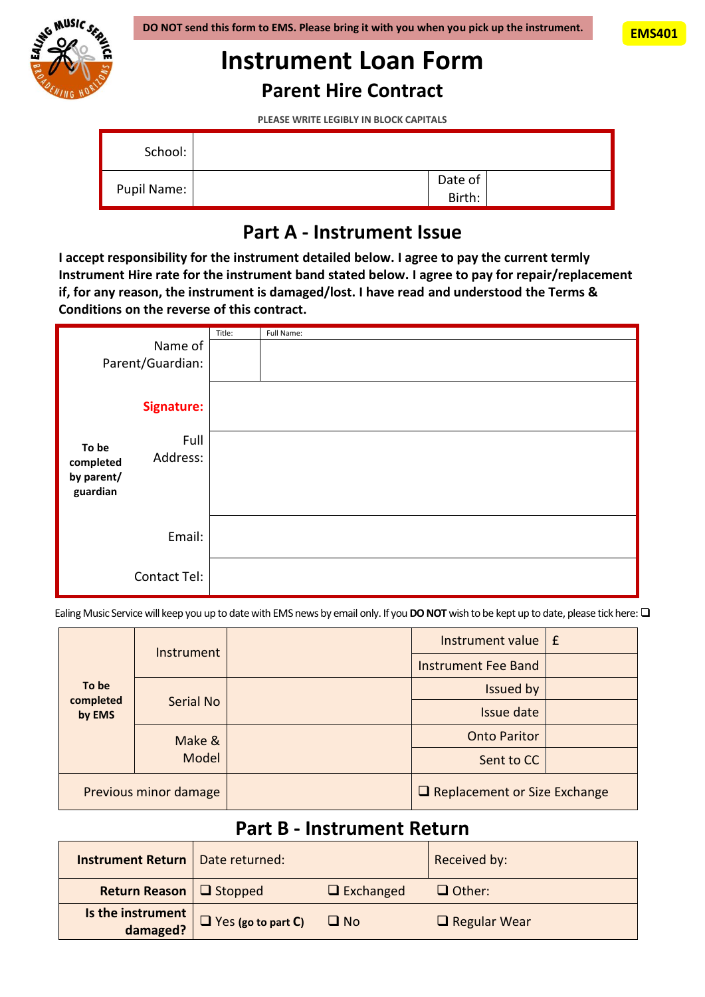

## **Instrument Loan Form**

**Parent Hire Contract**

**PLEASE WRITE LEGIBLY IN BLOCK CAPITALS**

| School:     |                   |
|-------------|-------------------|
| Pupil Name: | Date of<br>Birth: |

## **Part A - Instrument Issue**

**I accept responsibility for the instrument detailed below. I agree to pay the current termly Instrument Hire rate for the instrument band stated below. I agree to pay for repair/replacement if, for any reason, the instrument is damaged/lost. I have read and understood the Terms & Conditions on the reverse of this contract.**

| Name of<br>Parent/Guardian:                  |                   | Title:<br>Full Name: |
|----------------------------------------------|-------------------|----------------------|
|                                              | <b>Signature:</b> |                      |
| To be<br>completed<br>by parent/<br>guardian | Full<br>Address:  |                      |
|                                              | Email:            |                      |
|                                              | Contact Tel:      |                      |

Ealing Music Service will keep you up to date with EMS news by email only. If you **DO NOT** wish to be kept up to date, please tick here:  $\Box$ 

| To be<br>completed<br>by EMS | Instrument      |            | Instrument value $E$                |  |
|------------------------------|-----------------|------------|-------------------------------------|--|
|                              |                 |            | <b>Instrument Fee Band</b>          |  |
|                              | Serial No       |            | Issued by                           |  |
|                              |                 |            | Issue date                          |  |
|                              | Make &<br>Model |            | <b>Onto Paritor</b>                 |  |
|                              |                 | Sent to CC |                                     |  |
| Previous minor damage        |                 |            | $\Box$ Replacement or Size Exchange |  |

## **Part B - Instrument Return**

| <b>Instrument Return</b>            | Date returned:            |                  | Received by:        |
|-------------------------------------|---------------------------|------------------|---------------------|
| <b>Return Reason</b> $\Box$ Stopped |                           | $\Box$ Exchanged | $\Box$ Other:       |
| Is the instrument $ $<br>damaged?   | $\Box$ Yes (go to part C) | $\Box$ No        | $\Box$ Regular Wear |